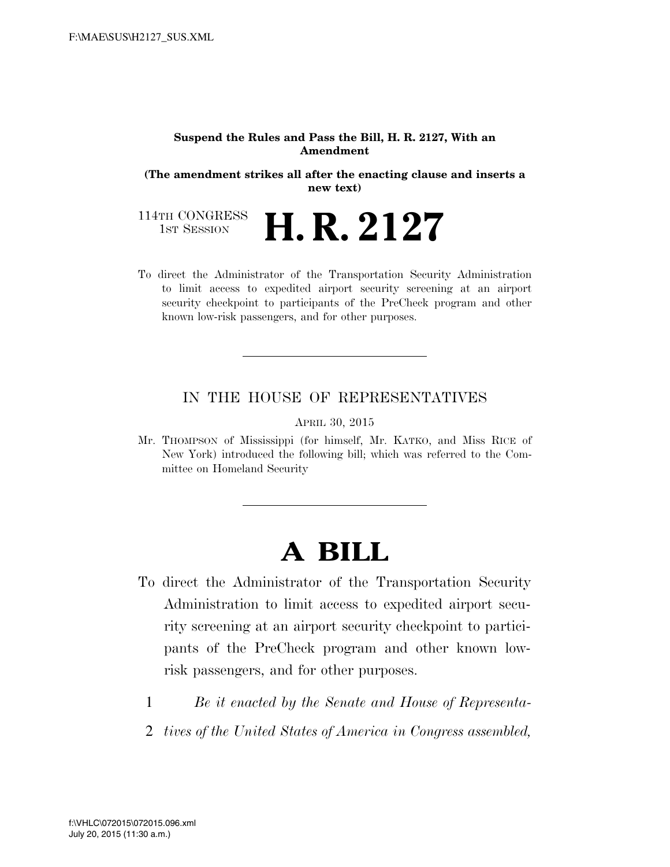#### **Suspend the Rules and Pass the Bill, H. R. 2127, With an Amendment**

**(The amendment strikes all after the enacting clause and inserts a new text)** 

114TH CONGRESS<br>1st Session **H. R. 2127** 

To direct the Administrator of the Transportation Security Administration to limit access to expedited airport security screening at an airport security checkpoint to participants of the PreCheck program and other known low-risk passengers, and for other purposes.

### IN THE HOUSE OF REPRESENTATIVES

APRIL 30, 2015

Mr. THOMPSON of Mississippi (for himself, Mr. KATKO, and Miss RICE of New York) introduced the following bill; which was referred to the Committee on Homeland Security

# **A BILL**

- To direct the Administrator of the Transportation Security Administration to limit access to expedited airport security screening at an airport security checkpoint to participants of the PreCheck program and other known lowrisk passengers, and for other purposes.
	- 1 *Be it enacted by the Senate and House of Representa-*
	- 2 *tives of the United States of America in Congress assembled,*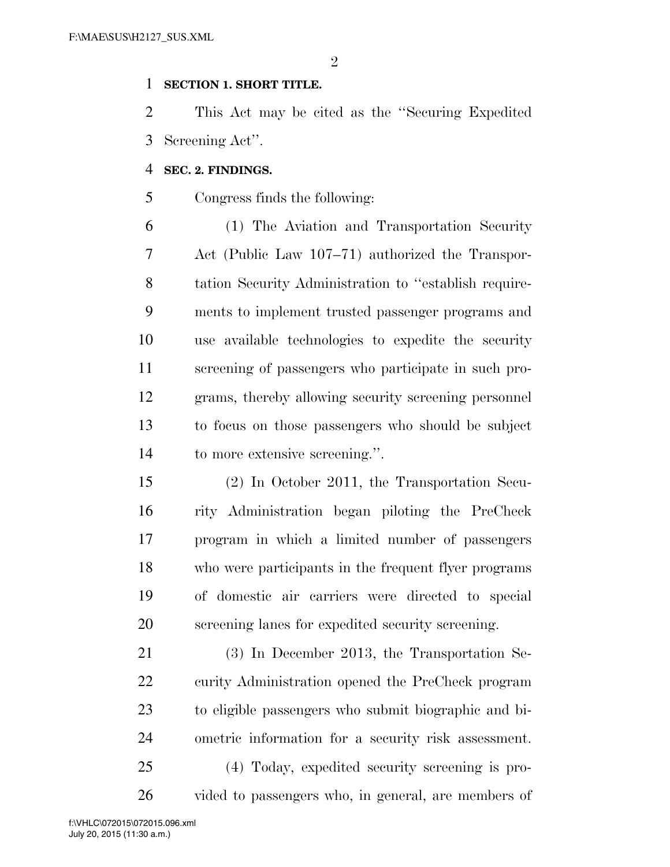$\mathfrak{D}$ 

### **SECTION 1. SHORT TITLE.**

 This Act may be cited as the ''Securing Expedited Screening Act''.

### **SEC. 2. FINDINGS.**

Congress finds the following:

 (1) The Aviation and Transportation Security Act (Public Law 107–71) authorized the Transpor- tation Security Administration to ''establish require- ments to implement trusted passenger programs and use available technologies to expedite the security screening of passengers who participate in such pro- grams, thereby allowing security screening personnel to focus on those passengers who should be subject to more extensive screening.''.

 (2) In October 2011, the Transportation Secu- rity Administration began piloting the PreCheck program in which a limited number of passengers who were participants in the frequent flyer programs of domestic air carriers were directed to special screening lanes for expedited security screening.

 (3) In December 2013, the Transportation Se- curity Administration opened the PreCheck program to eligible passengers who submit biographic and bi- ometric information for a security risk assessment. (4) Today, expedited security screening is pro-vided to passengers who, in general, are members of

July 20, 2015 (11:30 a.m.) f:\VHLC\072015\072015.096.xml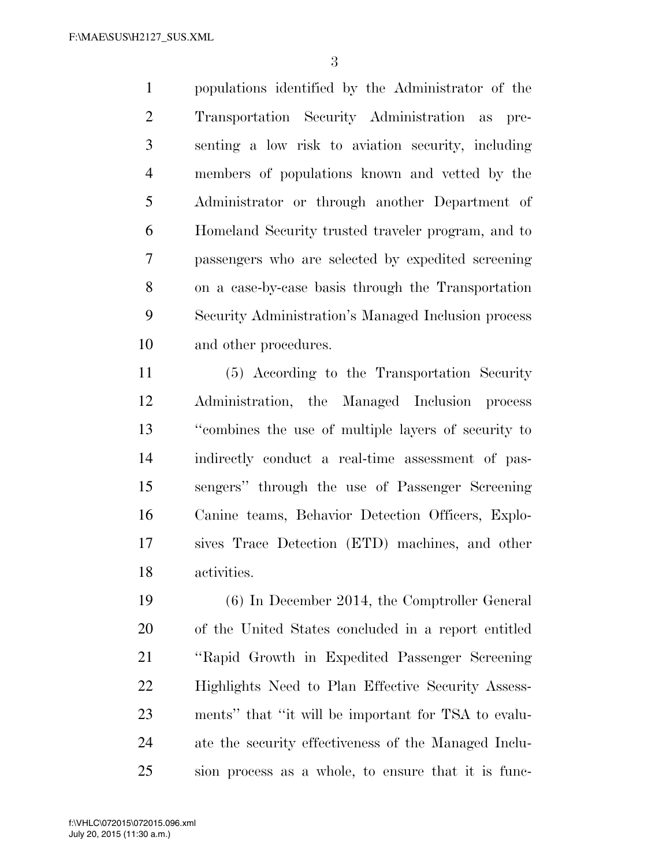populations identified by the Administrator of the Transportation Security Administration as pre- senting a low risk to aviation security, including members of populations known and vetted by the Administrator or through another Department of Homeland Security trusted traveler program, and to passengers who are selected by expedited screening on a case-by-case basis through the Transportation Security Administration's Managed Inclusion process and other procedures.

 (5) According to the Transportation Security Administration, the Managed Inclusion process ''combines the use of multiple layers of security to indirectly conduct a real-time assessment of pas- sengers'' through the use of Passenger Screening Canine teams, Behavior Detection Officers, Explo- sives Trace Detection (ETD) machines, and other activities.

 (6) In December 2014, the Comptroller General of the United States concluded in a report entitled ''Rapid Growth in Expedited Passenger Screening Highlights Need to Plan Effective Security Assess- ments'' that ''it will be important for TSA to evalu- ate the security effectiveness of the Managed Inclu-sion process as a whole, to ensure that it is func-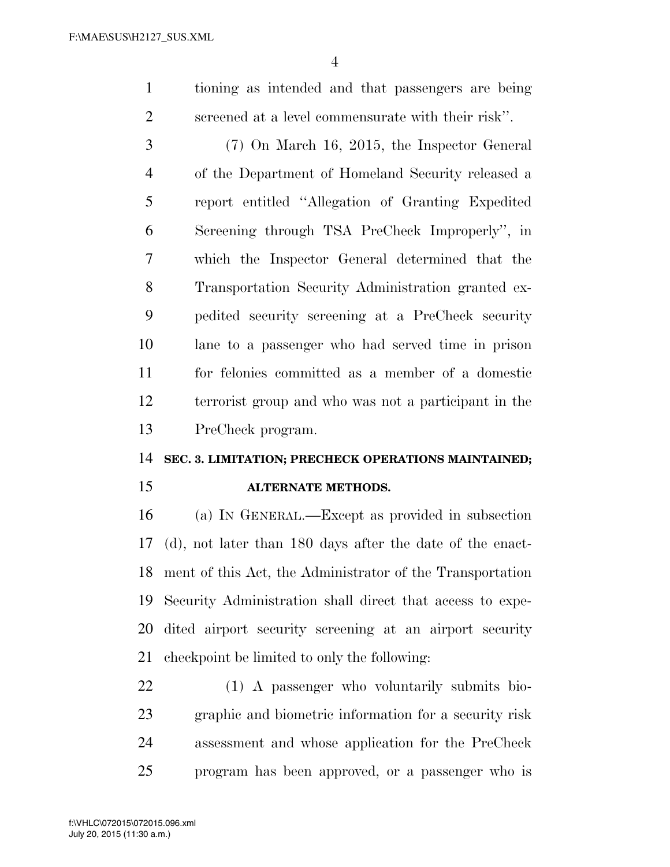tioning as intended and that passengers are being screened at a level commensurate with their risk''.

 (7) On March 16, 2015, the Inspector General of the Department of Homeland Security released a report entitled ''Allegation of Granting Expedited Screening through TSA PreCheck Improperly'', in which the Inspector General determined that the Transportation Security Administration granted ex- pedited security screening at a PreCheck security lane to a passenger who had served time in prison for felonies committed as a member of a domestic terrorist group and who was not a participant in the PreCheck program.

#### **SEC. 3. LIMITATION; PRECHECK OPERATIONS MAINTAINED;**

## **ALTERNATE METHODS.**

 (a) IN GENERAL.—Except as provided in subsection (d), not later than 180 days after the date of the enact- ment of this Act, the Administrator of the Transportation Security Administration shall direct that access to expe- dited airport security screening at an airport security checkpoint be limited to only the following:

 (1) A passenger who voluntarily submits bio- graphic and biometric information for a security risk assessment and whose application for the PreCheck program has been approved, or a passenger who is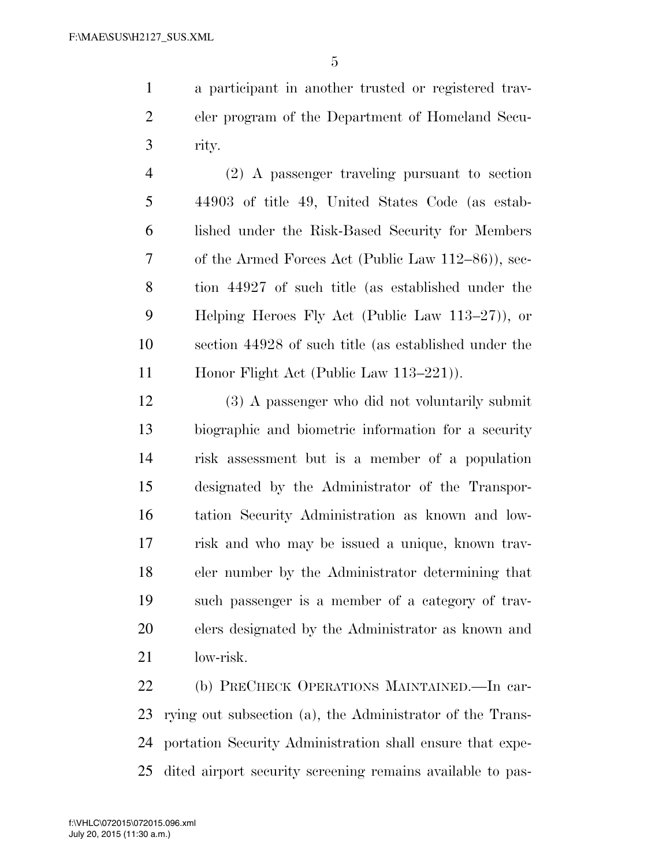a participant in another trusted or registered trav- eler program of the Department of Homeland Secu-rity.

 (2) A passenger traveling pursuant to section 44903 of title 49, United States Code (as estab- lished under the Risk-Based Security for Members of the Armed Forces Act (Public Law 112–86)), sec- tion 44927 of such title (as established under the Helping Heroes Fly Act (Public Law 113–27)), or section 44928 of such title (as established under the 11 Honor Flight Act (Public Law 113–221).

 (3) A passenger who did not voluntarily submit biographic and biometric information for a security risk assessment but is a member of a population designated by the Administrator of the Transpor- tation Security Administration as known and low- risk and who may be issued a unique, known trav- eler number by the Administrator determining that such passenger is a member of a category of trav- elers designated by the Administrator as known and low-risk.

 (b) PRECHECK OPERATIONS MAINTAINED.—In car- rying out subsection (a), the Administrator of the Trans- portation Security Administration shall ensure that expe-dited airport security screening remains available to pas-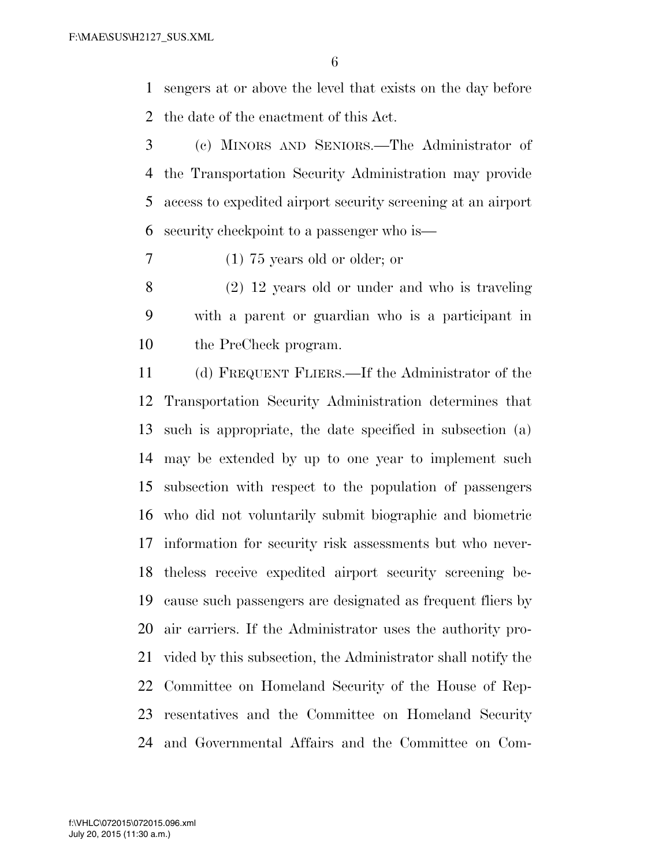sengers at or above the level that exists on the day before the date of the enactment of this Act.

 (c) MINORS AND SENIORS.—The Administrator of the Transportation Security Administration may provide access to expedited airport security screening at an airport security checkpoint to a passenger who is—

(1) 75 years old or older; or

 (2) 12 years old or under and who is traveling with a parent or guardian who is a participant in the PreCheck program.

 (d) FREQUENT FLIERS.—If the Administrator of the Transportation Security Administration determines that such is appropriate, the date specified in subsection (a) may be extended by up to one year to implement such subsection with respect to the population of passengers who did not voluntarily submit biographic and biometric information for security risk assessments but who never- theless receive expedited airport security screening be- cause such passengers are designated as frequent fliers by air carriers. If the Administrator uses the authority pro- vided by this subsection, the Administrator shall notify the Committee on Homeland Security of the House of Rep- resentatives and the Committee on Homeland Security and Governmental Affairs and the Committee on Com-

July 20, 2015 (11:30 a.m.) f:\VHLC\072015\072015.096.xml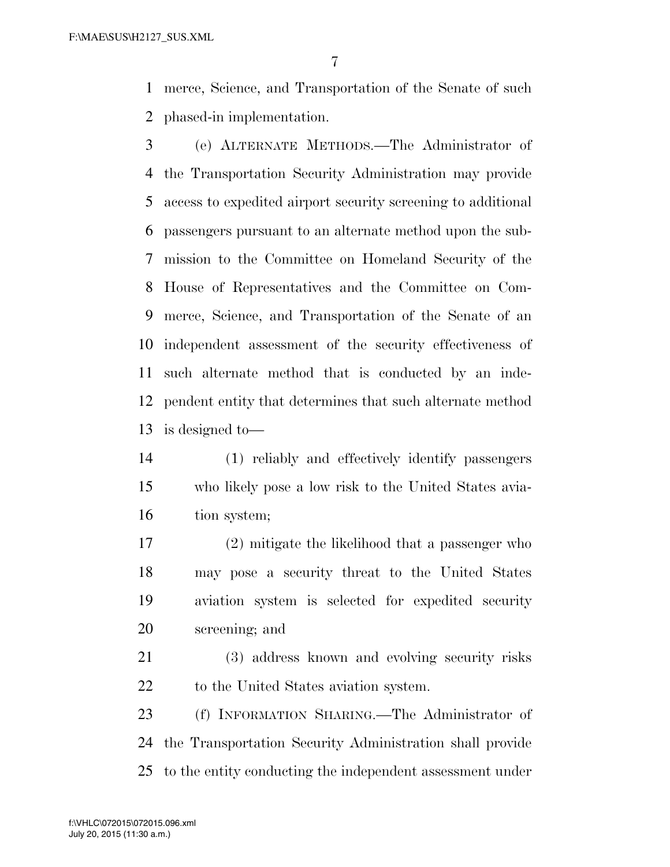merce, Science, and Transportation of the Senate of such phased-in implementation.

- (e) ALTERNATE METHODS.—The Administrator of the Transportation Security Administration may provide access to expedited airport security screening to additional passengers pursuant to an alternate method upon the sub- mission to the Committee on Homeland Security of the House of Representatives and the Committee on Com- merce, Science, and Transportation of the Senate of an independent assessment of the security effectiveness of such alternate method that is conducted by an inde- pendent entity that determines that such alternate method is designed to—
- (1) reliably and effectively identify passengers who likely pose a low risk to the United States avia-tion system;
- (2) mitigate the likelihood that a passenger who may pose a security threat to the United States aviation system is selected for expedited security screening; and
- (3) address known and evolving security risks 22 to the United States aviation system.
- (f) INFORMATION SHARING.—The Administrator of the Transportation Security Administration shall provide to the entity conducting the independent assessment under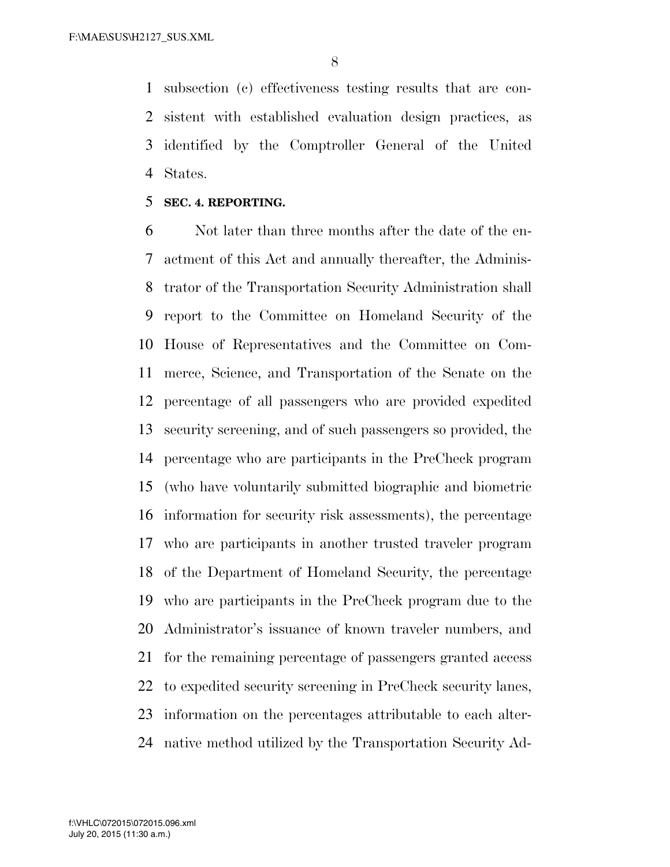subsection (c) effectiveness testing results that are con- sistent with established evaluation design practices, as identified by the Comptroller General of the United States.

#### **SEC. 4. REPORTING.**

 Not later than three months after the date of the en- actment of this Act and annually thereafter, the Adminis- trator of the Transportation Security Administration shall report to the Committee on Homeland Security of the House of Representatives and the Committee on Com- merce, Science, and Transportation of the Senate on the percentage of all passengers who are provided expedited security screening, and of such passengers so provided, the percentage who are participants in the PreCheck program (who have voluntarily submitted biographic and biometric information for security risk assessments), the percentage who are participants in another trusted traveler program of the Department of Homeland Security, the percentage who are participants in the PreCheck program due to the Administrator's issuance of known traveler numbers, and for the remaining percentage of passengers granted access to expedited security screening in PreCheck security lanes, information on the percentages attributable to each alter-native method utilized by the Transportation Security Ad